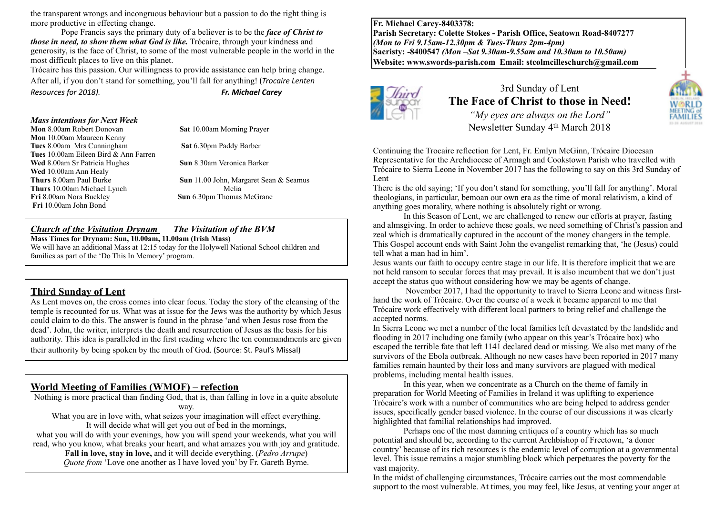the transparent wrongs and incongruous behaviour but a passion to do the right thing is more productive in effecting change.

Pope Francis says the primary duty of a believer is to be the *face of Christ to those in need, to show them what God is like.* Trócaire, through your kindness and generosity, is the face of Christ, to some of the most vulnerable people in the world in the most difficult places to live on this planet.

Trócaire has this passion. Our willingness to provide assistance can help bring change. After all, if you don't stand for something, you'll fall for anything! (*Trocaire Lenten Resources for 2018). COCO COCO COCO CACO COCO COCO COCO COCO COCO COCO COCO COCO COCO COCO COCO COCO COCO COCO COCO COCO COCO COCO*

#### *Mass intentions for Next Week*

**Mon** 8.00am Robert Donovan **Sat** 10.00am Morning Prayer **Mon** 10.00am Maureen Kenny **Tues** 8.00am Mrs Cunningham **Sat** 6.30pm Paddy Barber **Tues** 10.00am Eileen Bird & Ann Farren **Wed** 8.00am Sr Patricia Hughes **Sun** 8.30am Veronica Barker Wed 10.00am Ann Healy<br>Thurs 8.00am Paul Burke **Thurs** 10.00am Michael Lynch Melia **Fri** 8.00am Nora Buckley **Sun** 6.30pm Thomas McGrane **Fri** 10.00am John Bond

**Sun** 11.00 John, Margaret Sean & Seamus

#### *Church of the Visitation Drynam**The Visitation of the BVM* **Mass Times for Drynam: Sun, 10.00am, 11.00am (Irish Mass)**

We will have an additional Mass at 12:15 today for the Holywell National School children and families as part of the 'Do This In Memory' program.

## **Third Sunday of Lent**

As Lent moves on, the cross comes into clear focus. Today the story of the cleansing of the temple is recounted for us. What was at issue for the Jews was the authority by which Jesus could claim to do this. The answer is found in the phrase 'and when Jesus rose from the dead'. John, the writer, interprets the death and resurrection of Jesus as the basis for his authority. This idea is paralleled in the first reading where the ten commandments are given their authority by being spoken by the mouth of God. (Source: St. Paul's Missal)

## **World Meeting of Families (WMOF) – refection**

Nothing is more practical than finding God, that is, than falling in love in a quite absolute way.

What you are in love with, what seizes your imagination will effect everything. It will decide what will get you out of bed in the mornings, what you will do with your evenings, how you will spend your weekends, what you will read, who you know, what breaks your heart, and what amazes you with joy and gratitude.

**Fall in love, stay in love,** and it will decide everything. (*Pedro Arrupe*) *Quote from* 'Love one another as I have loved you' by Fr. Gareth Byrne.

**Fr. Michael Carey-8403378: Parish Secretary: Colette Stokes - Parish Office, Seatown Road-8407277**  *(Mon to Fri 9.15am-12.30pm & Tues-Thurs 2pm-4pm)*  **Sacristy: -8400547** *(Mon –Sat 9.30am-9.55am and 10.30am to 10.50am)* **Website: [www.swords-parish.com Email:](http://www.swords-parish.com%20%20email) stcolmcilleschurch@gmail.com**



3rd Sunday of Lent **The Face of Christ to those in Need!**

*"My eyes are always on the Lord"*  Newsletter Sunday 4th March 2018

Continuing the Trocaire reflection for Lent, Fr. Emlyn McGinn, Trócaire Diocesan Representative for the Archdiocese of Armagh and Cookstown Parish who travelled with Trócaire to Sierra Leone in November 2017 has the following to say on this 3rd Sunday of Lent

There is the old saying; 'If you don't stand for something, you'll fall for anything'. Moral theologians, in particular, bemoan our own era as the time of moral relativism, a kind of anything goes morality, where nothing is absolutely right or wrong.

In this Season of Lent, we are challenged to renew our efforts at prayer, fasting and almsgiving. In order to achieve these goals, we need something of Christ's passion and zeal which is dramatically captured in the account of the money changers in the temple. This Gospel account ends with Saint John the evangelist remarking that, 'he (Jesus) could tell what a man had in him'.

Jesus wants our faith to occupy centre stage in our life. It is therefore implicit that we are not held ransom to secular forces that may prevail. It is also incumbent that we don't just accept the status quo without considering how we may be agents of change.

 November 2017, I had the opportunity to travel to Sierra Leone and witness firsthand the work of Trócaire. Over the course of a week it became apparent to me that Trócaire work effectively with different local partners to bring relief and challenge the accepted norms.

In Sierra Leone we met a number of the local families left devastated by the landslide and flooding in 2017 including one family (who appear on this year's Trócaire box) who escaped the terrible fate that left 1141 declared dead or missing. We also met many of the survivors of the Ebola outbreak. Although no new cases have been reported in 2017 many families remain haunted by their loss and many survivors are plagued with medical problems, including mental health issues.

In this year, when we concentrate as a Church on the theme of family in preparation for World Meeting of Families in Ireland it was uplifting to experience Trócaire's work with a number of communities who are being helped to address gender issues, specifically gender based violence. In the course of our discussions it was clearly highlighted that familial relationships had improved.

Perhaps one of the most damning critiques of a country which has so much potential and should be, according to the current Archbishop of Freetown, 'a donor country' because of its rich resources is the endemic level of corruption at a governmental level. This issue remains a major stumbling block which perpetuates the poverty for the vast majority.

In the midst of challenging circumstances, Trócaire carries out the most commendable support to the most vulnerable. At times, you may feel, like Jesus, at venting your anger at